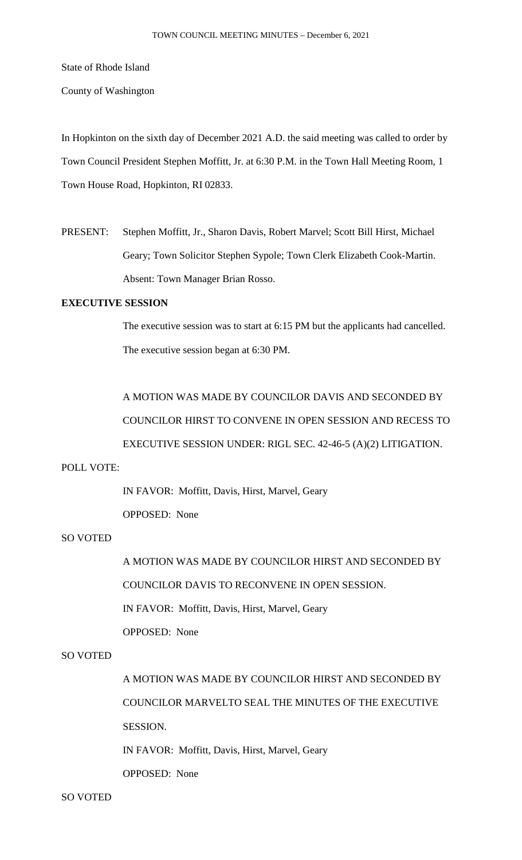State of Rhode Island

County of Washington

In Hopkinton on the sixth day of December 2021 A.D. the said meeting was called to order by Town Council President Stephen Moffitt, Jr. at 6:30 P.M. in the Town Hall Meeting Room, 1 Town House Road, Hopkinton, RI 02833.

PRESENT: Stephen Moffitt, Jr., Sharon Davis, Robert Marvel; Scott Bill Hirst, Michael Geary; Town Solicitor Stephen Sypole; Town Clerk Elizabeth Cook-Martin. Absent: Town Manager Brian Rosso.

## **EXECUTIVE SESSION**

The executive session was to start at 6:15 PM but the applicants had cancelled. The executive session began at 6:30 PM.

A MOTION WAS MADE BY COUNCILOR DAVIS AND SECONDED BY COUNCILOR HIRST TO CONVENE IN OPEN SESSION AND RECESS TO EXECUTIVE SESSION UNDER: RIGL SEC. 42-46-5 (A)(2) LITIGATION.

## POLL VOTE:

IN FAVOR: Moffitt, Davis, Hirst, Marvel, Geary

OPPOSED: None

## SO VOTED

A MOTION WAS MADE BY COUNCILOR HIRST AND SECONDED BY COUNCILOR DAVIS TO RECONVENE IN OPEN SESSION. IN FAVOR: Moffitt, Davis, Hirst, Marvel, Geary

OPPOSED: None

## SO VOTED

A MOTION WAS MADE BY COUNCILOR HIRST AND SECONDED BY COUNCILOR MARVELTO SEAL THE MINUTES OF THE EXECUTIVE SESSION. IN FAVOR: Moffitt, Davis, Hirst, Marvel, Geary

OPPOSED: None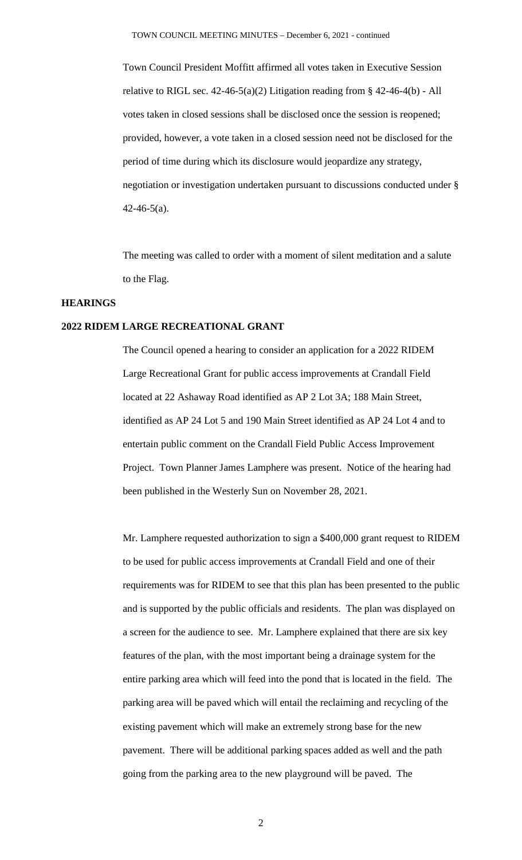Town Council President Moffitt affirmed all votes taken in Executive Session relative to RIGL sec. 42-46-5(a)(2) Litigation reading from § 42-46-4(b) - All votes taken in closed sessions shall be disclosed once the session is reopened; provided, however, a vote taken in a closed session need not be disclosed for the period of time during which its disclosure would jeopardize any strategy, negotiation or investigation undertaken pursuant to discussions conducted under §  $42-46-5(a)$ .

The meeting was called to order with a moment of silent meditation and a salute to the Flag.

#### **HEARINGS**

#### **2022 RIDEM LARGE RECREATIONAL GRANT**

The Council opened a hearing to consider an application for a 2022 RIDEM Large Recreational Grant for public access improvements at Crandall Field located at 22 Ashaway Road identified as AP 2 Lot 3A; 188 Main Street, identified as AP 24 Lot 5 and 190 Main Street identified as AP 24 Lot 4 and to entertain public comment on the Crandall Field Public Access Improvement Project. Town Planner James Lamphere was present. Notice of the hearing had been published in the Westerly Sun on November 28, 2021.

Mr. Lamphere requested authorization to sign a \$400,000 grant request to RIDEM to be used for public access improvements at Crandall Field and one of their requirements was for RIDEM to see that this plan has been presented to the public and is supported by the public officials and residents. The plan was displayed on a screen for the audience to see. Mr. Lamphere explained that there are six key features of the plan, with the most important being a drainage system for the entire parking area which will feed into the pond that is located in the field. The parking area will be paved which will entail the reclaiming and recycling of the existing pavement which will make an extremely strong base for the new pavement. There will be additional parking spaces added as well and the path going from the parking area to the new playground will be paved. The

2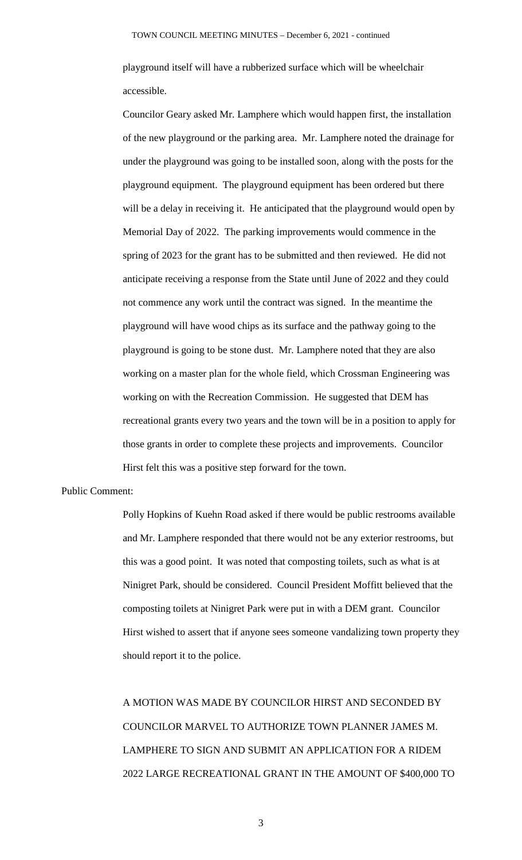playground itself will have a rubberized surface which will be wheelchair accessible.

Councilor Geary asked Mr. Lamphere which would happen first, the installation of the new playground or the parking area. Mr. Lamphere noted the drainage for under the playground was going to be installed soon, along with the posts for the playground equipment. The playground equipment has been ordered but there will be a delay in receiving it. He anticipated that the playground would open by Memorial Day of 2022. The parking improvements would commence in the spring of 2023 for the grant has to be submitted and then reviewed. He did not anticipate receiving a response from the State until June of 2022 and they could not commence any work until the contract was signed. In the meantime the playground will have wood chips as its surface and the pathway going to the playground is going to be stone dust. Mr. Lamphere noted that they are also working on a master plan for the whole field, which Crossman Engineering was working on with the Recreation Commission. He suggested that DEM has recreational grants every two years and the town will be in a position to apply for those grants in order to complete these projects and improvements. Councilor Hirst felt this was a positive step forward for the town.

#### Public Comment:

Polly Hopkins of Kuehn Road asked if there would be public restrooms available and Mr. Lamphere responded that there would not be any exterior restrooms, but this was a good point. It was noted that composting toilets, such as what is at Ninigret Park, should be considered. Council President Moffitt believed that the composting toilets at Ninigret Park were put in with a DEM grant. Councilor Hirst wished to assert that if anyone sees someone vandalizing town property they should report it to the police.

A MOTION WAS MADE BY COUNCILOR HIRST AND SECONDED BY COUNCILOR MARVEL TO AUTHORIZE TOWN PLANNER JAMES M. LAMPHERE TO SIGN AND SUBMIT AN APPLICATION FOR A RIDEM 2022 LARGE RECREATIONAL GRANT IN THE AMOUNT OF \$400,000 TO

3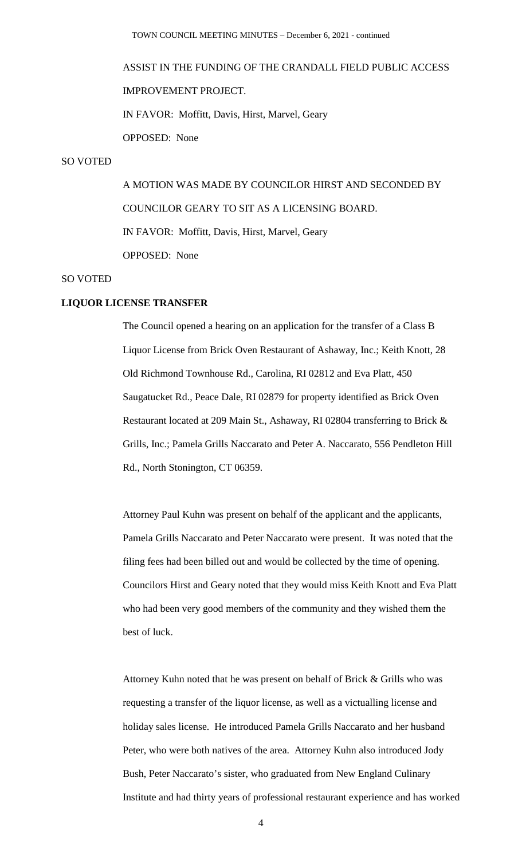# ASSIST IN THE FUNDING OF THE CRANDALL FIELD PUBLIC ACCESS IMPROVEMENT PROJECT. IN FAVOR: Moffitt, Davis, Hirst, Marvel, Geary OPPOSED: None

### SO VOTED

A MOTION WAS MADE BY COUNCILOR HIRST AND SECONDED BY COUNCILOR GEARY TO SIT AS A LICENSING BOARD. IN FAVOR: Moffitt, Davis, Hirst, Marvel, Geary OPPOSED: None

#### SO VOTED

#### **LIQUOR LICENSE TRANSFER**

The Council opened a hearing on an application for the transfer of a Class B Liquor License from Brick Oven Restaurant of Ashaway, Inc.; Keith Knott, 28 Old Richmond Townhouse Rd., Carolina, RI 02812 and Eva Platt, 450 Saugatucket Rd., Peace Dale, RI 02879 for property identified as Brick Oven Restaurant located at 209 Main St., Ashaway, RI 02804 transferring to Brick & Grills, Inc.; Pamela Grills Naccarato and Peter A. Naccarato, 556 Pendleton Hill Rd., North Stonington, CT 06359.

Attorney Paul Kuhn was present on behalf of the applicant and the applicants, Pamela Grills Naccarato and Peter Naccarato were present. It was noted that the filing fees had been billed out and would be collected by the time of opening. Councilors Hirst and Geary noted that they would miss Keith Knott and Eva Platt who had been very good members of the community and they wished them the best of luck.

Attorney Kuhn noted that he was present on behalf of Brick & Grills who was requesting a transfer of the liquor license, as well as a victualling license and holiday sales license. He introduced Pamela Grills Naccarato and her husband Peter, who were both natives of the area. Attorney Kuhn also introduced Jody Bush, Peter Naccarato's sister, who graduated from New England Culinary Institute and had thirty years of professional restaurant experience and has worked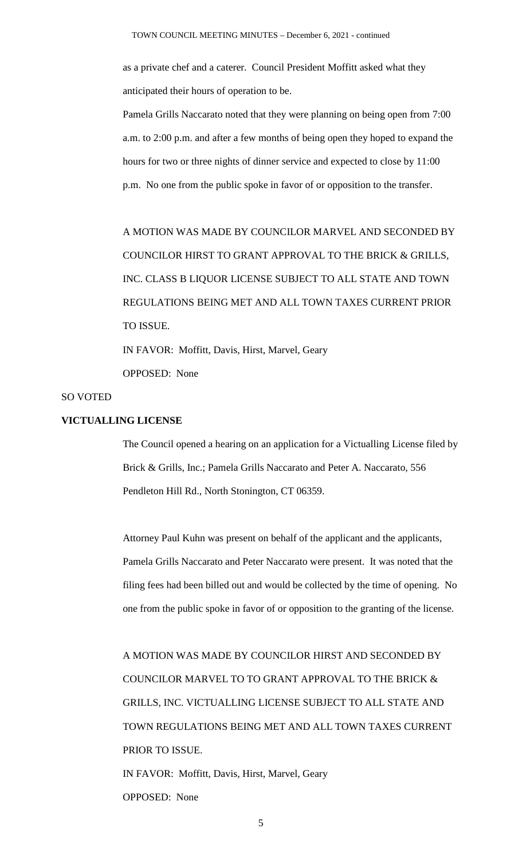as a private chef and a caterer. Council President Moffitt asked what they anticipated their hours of operation to be.

Pamela Grills Naccarato noted that they were planning on being open from 7:00 a.m. to 2:00 p.m. and after a few months of being open they hoped to expand the hours for two or three nights of dinner service and expected to close by 11:00 p.m. No one from the public spoke in favor of or opposition to the transfer.

A MOTION WAS MADE BY COUNCILOR MARVEL AND SECONDED BY COUNCILOR HIRST TO GRANT APPROVAL TO THE BRICK & GRILLS, INC. CLASS B LIQUOR LICENSE SUBJECT TO ALL STATE AND TOWN REGULATIONS BEING MET AND ALL TOWN TAXES CURRENT PRIOR TO ISSUE. IN FAVOR: Moffitt, Davis, Hirst, Marvel, Geary OPPOSED: None

#### SO VOTED

## **VICTUALLING LICENSE**

The Council opened a hearing on an application for a Victualling License filed by Brick & Grills, Inc.; Pamela Grills Naccarato and Peter A. Naccarato, 556 Pendleton Hill Rd., North Stonington, CT 06359.

Attorney Paul Kuhn was present on behalf of the applicant and the applicants, Pamela Grills Naccarato and Peter Naccarato were present. It was noted that the filing fees had been billed out and would be collected by the time of opening. No one from the public spoke in favor of or opposition to the granting of the license.

A MOTION WAS MADE BY COUNCILOR HIRST AND SECONDED BY COUNCILOR MARVEL TO TO GRANT APPROVAL TO THE BRICK & GRILLS, INC. VICTUALLING LICENSE SUBJECT TO ALL STATE AND TOWN REGULATIONS BEING MET AND ALL TOWN TAXES CURRENT PRIOR TO ISSUE. IN FAVOR: Moffitt, Davis, Hirst, Marvel, Geary

OPPOSED: None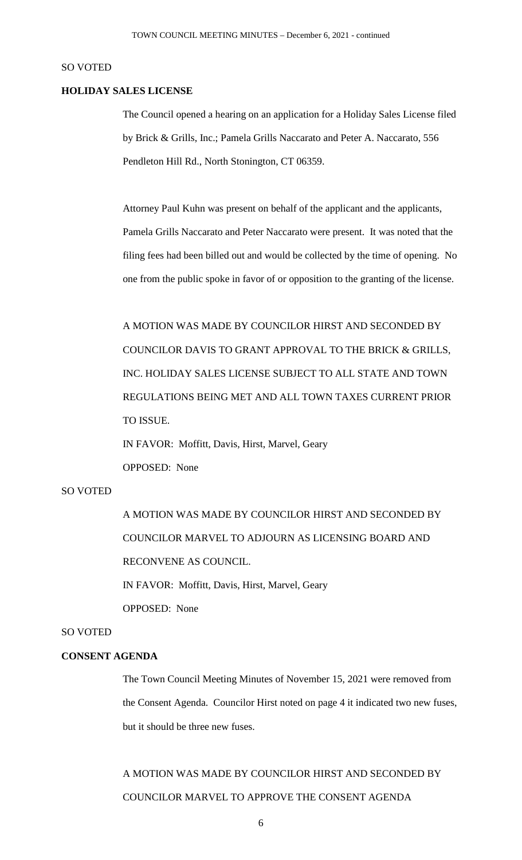#### SO VOTED

#### **HOLIDAY SALES LICENSE**

The Council opened a hearing on an application for a Holiday Sales License filed by Brick & Grills, Inc.; Pamela Grills Naccarato and Peter A. Naccarato, 556 Pendleton Hill Rd., North Stonington, CT 06359.

Attorney Paul Kuhn was present on behalf of the applicant and the applicants, Pamela Grills Naccarato and Peter Naccarato were present. It was noted that the filing fees had been billed out and would be collected by the time of opening. No one from the public spoke in favor of or opposition to the granting of the license.

A MOTION WAS MADE BY COUNCILOR HIRST AND SECONDED BY COUNCILOR DAVIS TO GRANT APPROVAL TO THE BRICK & GRILLS, INC. HOLIDAY SALES LICENSE SUBJECT TO ALL STATE AND TOWN REGULATIONS BEING MET AND ALL TOWN TAXES CURRENT PRIOR TO ISSUE.

IN FAVOR: Moffitt, Davis, Hirst, Marvel, Geary OPPOSED: None

## SO VOTED

A MOTION WAS MADE BY COUNCILOR HIRST AND SECONDED BY COUNCILOR MARVEL TO ADJOURN AS LICENSING BOARD AND RECONVENE AS COUNCIL. IN FAVOR: Moffitt, Davis, Hirst, Marvel, Geary OPPOSED: None

#### SO VOTED

#### **CONSENT AGENDA**

The Town Council Meeting Minutes of November 15, 2021 were removed from the Consent Agenda. Councilor Hirst noted on page 4 it indicated two new fuses, but it should be three new fuses.

A MOTION WAS MADE BY COUNCILOR HIRST AND SECONDED BY COUNCILOR MARVEL TO APPROVE THE CONSENT AGENDA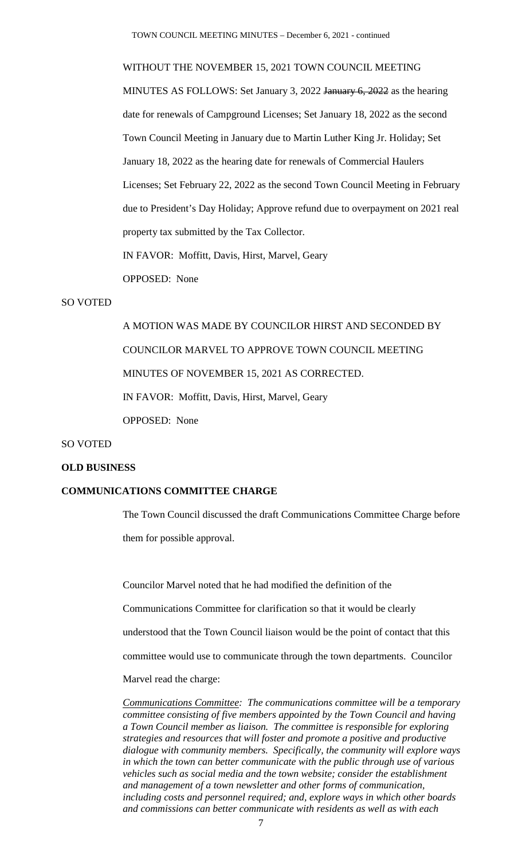TOWN COUNCIL MEETING MINUTES – December 6, 2021 - continued

#### WITHOUT THE NOVEMBER 15, 2021 TOWN COUNCIL MEETING

MINUTES AS FOLLOWS: Set January 3, 2022 January 6, 2022 as the hearing date for renewals of Campground Licenses; Set January 18, 2022 as the second Town Council Meeting in January due to Martin Luther King Jr. Holiday; Set January 18, 2022 as the hearing date for renewals of Commercial Haulers Licenses; Set February 22, 2022 as the second Town Council Meeting in February due to President's Day Holiday; Approve refund due to overpayment on 2021 real property tax submitted by the Tax Collector. IN FAVOR: Moffitt, Davis, Hirst, Marvel, Geary

OPPOSED: None

## SO VOTED

A MOTION WAS MADE BY COUNCILOR HIRST AND SECONDED BY COUNCILOR MARVEL TO APPROVE TOWN COUNCIL MEETING MINUTES OF NOVEMBER 15, 2021 AS CORRECTED. IN FAVOR: Moffitt, Davis, Hirst, Marvel, Geary OPPOSED: None

#### SO VOTED

#### **OLD BUSINESS**

## **COMMUNICATIONS COMMITTEE CHARGE**

The Town Council discussed the draft Communications Committee Charge before them for possible approval.

Councilor Marvel noted that he had modified the definition of the Communications Committee for clarification so that it would be clearly understood that the Town Council liaison would be the point of contact that this committee would use to communicate through the town departments. Councilor Marvel read the charge:

*Communications Committee: The communications committee will be a temporary committee consisting of five members appointed by the Town Council and having a Town Council member as liaison. The committee is responsible for exploring strategies and resources that will foster and promote a positive and productive dialogue with community members. Specifically, the community will explore ways in which the town can better communicate with the public through use of various vehicles such as social media and the town website; consider the establishment and management of a town newsletter and other forms of communication, including costs and personnel required; and, explore ways in which other boards and commissions can better communicate with residents as well as with each*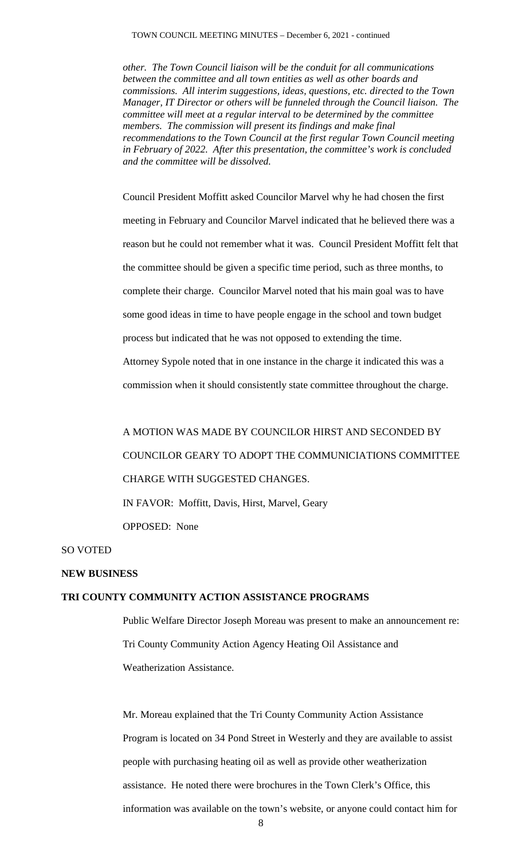*other. The Town Council liaison will be the conduit for all communications between the committee and all town entities as well as other boards and commissions. All interim suggestions, ideas, questions, etc. directed to the Town Manager, IT Director or others will be funneled through the Council liaison. The committee will meet at a regular interval to be determined by the committee members. The commission will present its findings and make final recommendations to the Town Council at the first regular Town Council meeting in February of 2022. After this presentation, the committee's work is concluded and the committee will be dissolved.*

Council President Moffitt asked Councilor Marvel why he had chosen the first meeting in February and Councilor Marvel indicated that he believed there was a reason but he could not remember what it was. Council President Moffitt felt that the committee should be given a specific time period, such as three months, to complete their charge. Councilor Marvel noted that his main goal was to have some good ideas in time to have people engage in the school and town budget process but indicated that he was not opposed to extending the time. Attorney Sypole noted that in one instance in the charge it indicated this was a

commission when it should consistently state committee throughout the charge.

A MOTION WAS MADE BY COUNCILOR HIRST AND SECONDED BY COUNCILOR GEARY TO ADOPT THE COMMUNICIATIONS COMMITTEE CHARGE WITH SUGGESTED CHANGES.

IN FAVOR: Moffitt, Davis, Hirst, Marvel, Geary OPPOSED: None

SO VOTED

#### **NEW BUSINESS**

#### **TRI COUNTY COMMUNITY ACTION ASSISTANCE PROGRAMS**

Public Welfare Director Joseph Moreau was present to make an announcement re: Tri County Community Action Agency Heating Oil Assistance and Weatherization Assistance.

Mr. Moreau explained that the Tri County Community Action Assistance Program is located on 34 Pond Street in Westerly and they are available to assist people with purchasing heating oil as well as provide other weatherization assistance. He noted there were brochures in the Town Clerk's Office, this information was available on the town's website, or anyone could contact him for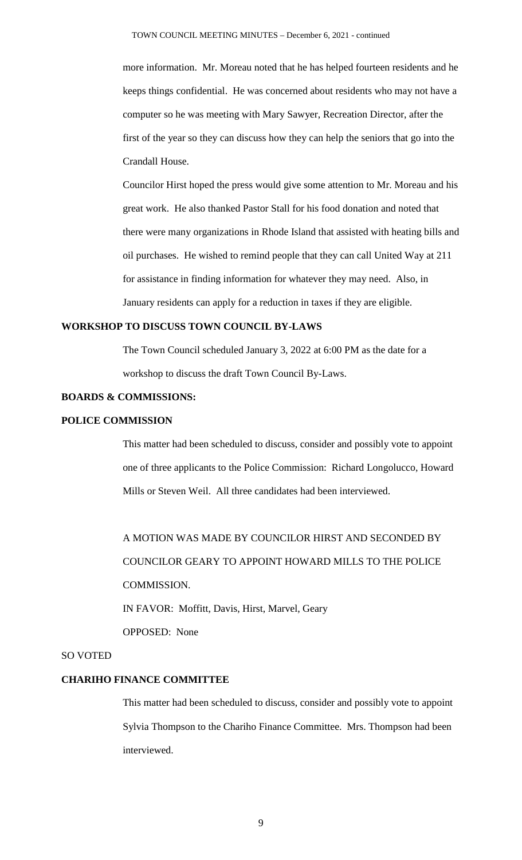more information. Mr. Moreau noted that he has helped fourteen residents and he keeps things confidential. He was concerned about residents who may not have a computer so he was meeting with Mary Sawyer, Recreation Director, after the first of the year so they can discuss how they can help the seniors that go into the Crandall House.

Councilor Hirst hoped the press would give some attention to Mr. Moreau and his great work. He also thanked Pastor Stall for his food donation and noted that there were many organizations in Rhode Island that assisted with heating bills and oil purchases. He wished to remind people that they can call United Way at 211 for assistance in finding information for whatever they may need. Also, in January residents can apply for a reduction in taxes if they are eligible.

#### **WORKSHOP TO DISCUSS TOWN COUNCIL BY-LAWS**

The Town Council scheduled January 3, 2022 at 6:00 PM as the date for a workshop to discuss the draft Town Council By-Laws.

## **BOARDS & COMMISSIONS:**

#### **POLICE COMMISSION**

This matter had been scheduled to discuss, consider and possibly vote to appoint one of three applicants to the Police Commission: Richard Longolucco, Howard Mills or Steven Weil. All three candidates had been interviewed.

A MOTION WAS MADE BY COUNCILOR HIRST AND SECONDED BY COUNCILOR GEARY TO APPOINT HOWARD MILLS TO THE POLICE COMMISSION.

IN FAVOR: Moffitt, Davis, Hirst, Marvel, Geary

OPPOSED: None

#### SO VOTED

## **CHARIHO FINANCE COMMITTEE**

This matter had been scheduled to discuss, consider and possibly vote to appoint Sylvia Thompson to the Chariho Finance Committee. Mrs. Thompson had been interviewed.

9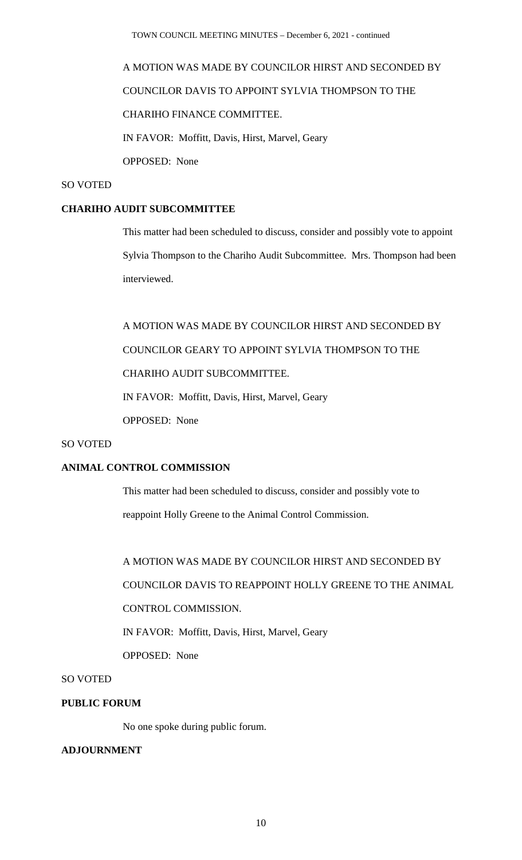# A MOTION WAS MADE BY COUNCILOR HIRST AND SECONDED BY COUNCILOR DAVIS TO APPOINT SYLVIA THOMPSON TO THE CHARIHO FINANCE COMMITTEE. IN FAVOR: Moffitt, Davis, Hirst, Marvel, Geary

OPPOSED: None

#### SO VOTED

### **CHARIHO AUDIT SUBCOMMITTEE**

This matter had been scheduled to discuss, consider and possibly vote to appoint Sylvia Thompson to the Chariho Audit Subcommittee. Mrs. Thompson had been interviewed.

A MOTION WAS MADE BY COUNCILOR HIRST AND SECONDED BY COUNCILOR GEARY TO APPOINT SYLVIA THOMPSON TO THE CHARIHO AUDIT SUBCOMMITTEE. IN FAVOR: Moffitt, Davis, Hirst, Marvel, Geary OPPOSED: None

### SO VOTED

## **ANIMAL CONTROL COMMISSION**

This matter had been scheduled to discuss, consider and possibly vote to reappoint Holly Greene to the Animal Control Commission.

A MOTION WAS MADE BY COUNCILOR HIRST AND SECONDED BY COUNCILOR DAVIS TO REAPPOINT HOLLY GREENE TO THE ANIMAL CONTROL COMMISSION. IN FAVOR: Moffitt, Davis, Hirst, Marvel, Geary

OPPOSED: None

#### SO VOTED

## **PUBLIC FORUM**

No one spoke during public forum.

#### **ADJOURNMENT**